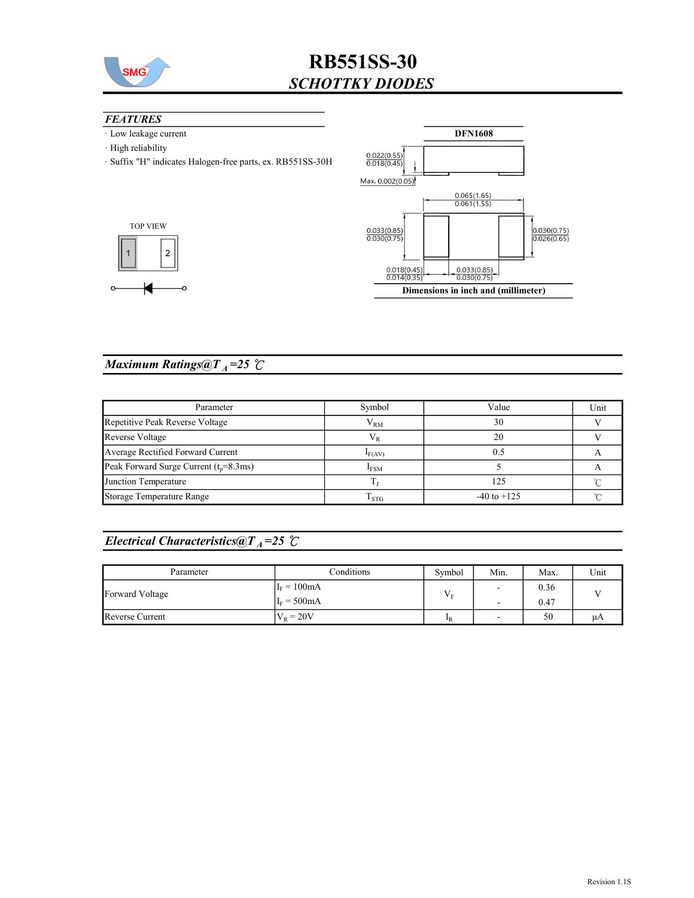

## RB551SS-30 SCHOTTKY DIODES

#### **FEATURES**

- · Low leakage current
- · High reliability
- · Suffix "H" indicates Halogen-free parts, ex. RB551SS-30H





### Maximum Ratings@ $T_A = 25$   $\degree$ C

| Parameter                               | Symbol      | Value           | Unit |
|-----------------------------------------|-------------|-----------------|------|
| Repetitive Peak Reverse Voltage         | $V_{RM}$    | 30              |      |
| Reverse Voltage                         | V R         | 20              |      |
| Average Rectified Forward Current       | $I_{F(AV)}$ |                 |      |
| Peak Forward Surge Current $(tp=8.3ms)$ | <b>IFSM</b> |                 |      |
| Junction Temperature                    |             | 125             |      |
| Storage Temperature Range               | $1$ STG     | $-40$ to $+125$ |      |

### Electrical Characteristics@T<sub>A</sub>=25  $\mathcal{C}$

| Parameter       | Conditions    | Symbol           | Min.           | Max. | Unit |
|-----------------|---------------|------------------|----------------|------|------|
| Forward Voltage | $I_F = 100mA$ | T<br>Vг          | $\sim$         | 0.36 |      |
|                 | $I_F = 500mA$ |                  | $\overline{a}$ | 0.47 |      |
| Reverse Current | $V_R = 20V$   | $\mathbf{I}_{R}$ | -              | 50   | μA   |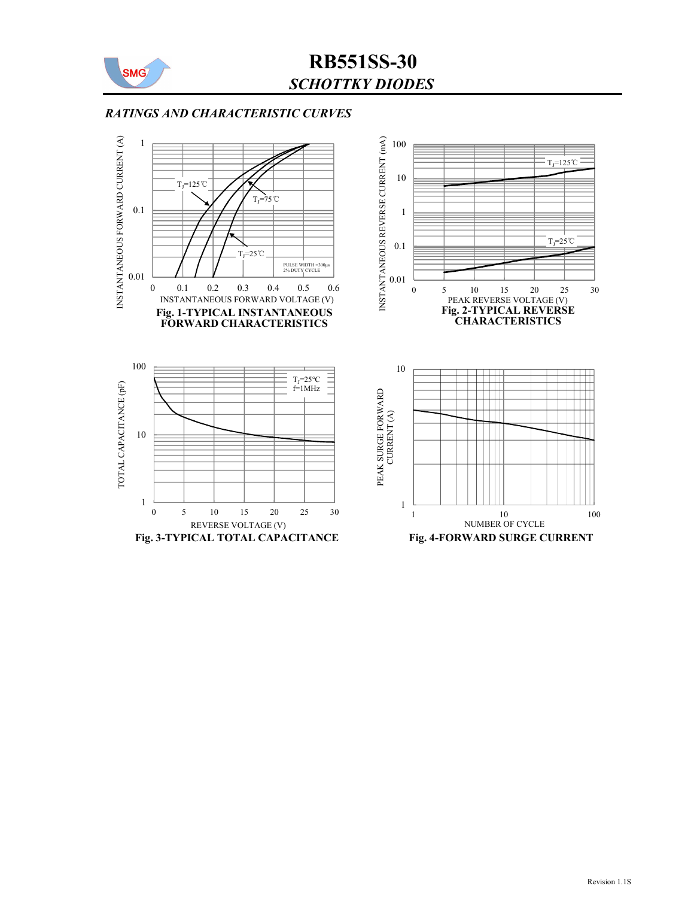

## RB551SS-30 SCHOTTKY DIODES

### RATINGS AND CHARACTERISTIC CURVES

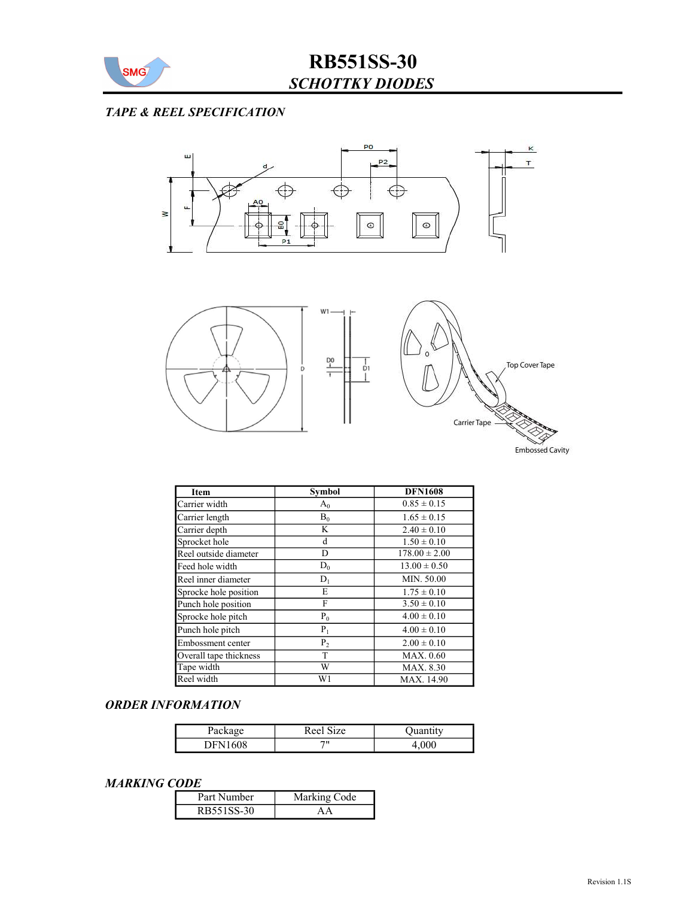

## TAPE & REEL SPECIFICATION



| <b>Item</b>            | <b>Symbol</b>  | <b>DFN1608</b>    |
|------------------------|----------------|-------------------|
| Carrier width          | $A_0$          | $0.85 \pm 0.15$   |
| Carrier length         | $B_0$          | $1.65 \pm 0.15$   |
| Carrier depth          | K              | $2.40 \pm 0.10$   |
| Sprocket hole          | d              | $1.50 \pm 0.10$   |
| Reel outside diameter  | D              | $178.00 \pm 2.00$ |
| Feed hole width        | $D_0$          | $13.00 \pm 0.50$  |
| Reel inner diameter    | $D_1$          | MIN. 50.00        |
| Sprocke hole position  | E              | $1.75 \pm 0.10$   |
| Punch hole position    | F              | $3.50 \pm 0.10$   |
| Sprocke hole pitch     | $P_0$          | $4.00 \pm 0.10$   |
| Punch hole pitch       | $P_1$          | $4.00 \pm 0.10$   |
| Embossment center      | P <sub>2</sub> | $2.00 \pm 0.10$   |
| Overall tape thickness | T              | MAX. 0.60         |
| Tape width             | W              | MAX. 8.30         |
| Reel width             | W1             | MAX. 14.90        |

### ORDER INFORMATION

| Package             | Reel<br>1Ze |       |
|---------------------|-------------|-------|
| $\sqrt{08}$<br>'NH∖ | 711         | +,vvv |

#### MARKING CODE

| Part Number | Marking Code |
|-------------|--------------|
| RB551SS-30  |              |